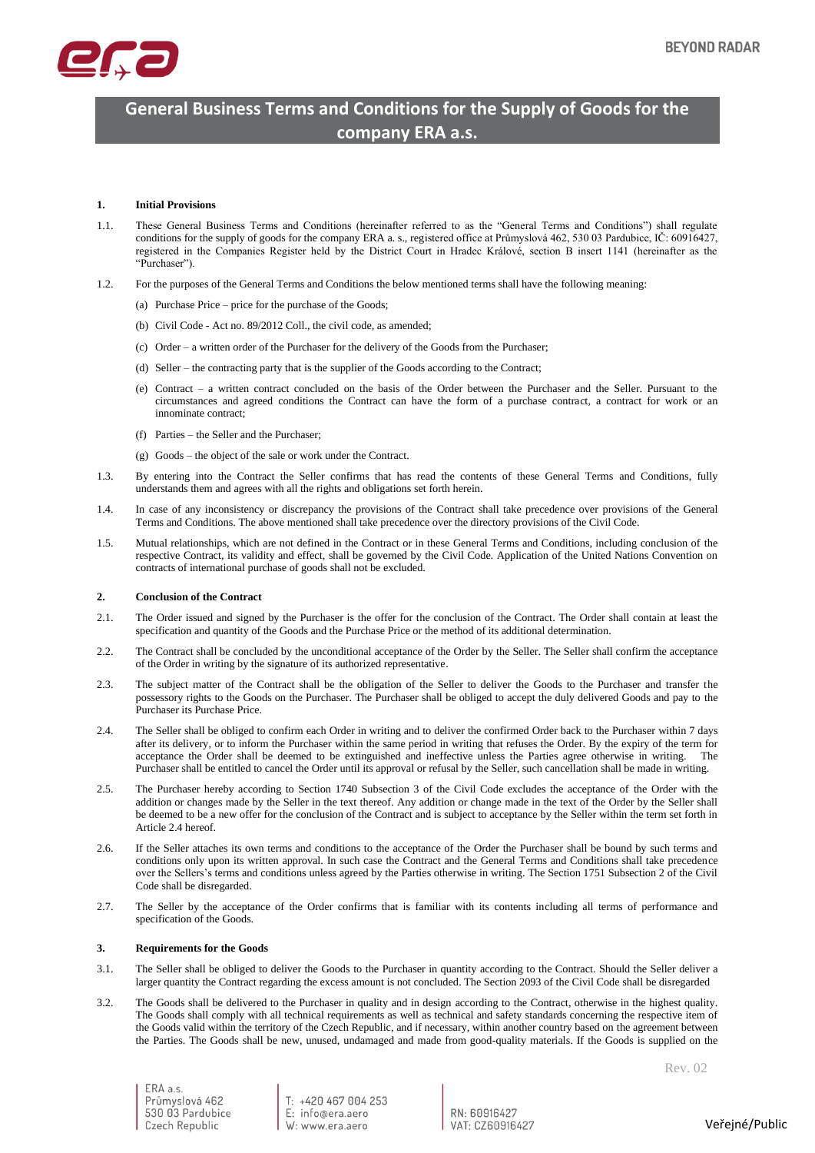

# **General Business Terms and Conditions for the Supply of Goods for the company ERA a.s.**

# **1. Initial Provisions**

- 1.1. These General Business Terms and Conditions (hereinafter referred to as the "General Terms and Conditions") shall regulate conditions for the supply of goods for the company ERA a. s., registered office at Průmyslová 462, 530 03 Pardubice, IČ: 60916427, registered in the Companies Register held by the District Court in Hradec Králové, section B insert 1141 (hereinafter as the "Purchaser").
- 1.2. For the purposes of the General Terms and Conditions the below mentioned terms shall have the following meaning:
	- (a) Purchase Price price for the purchase of the Goods;
	- (b) Civil Code Act no. 89/2012 Coll., the civil code, as amended;
	- (c) Order a written order of the Purchaser for the delivery of the Goods from the Purchaser;
	- (d) Seller the contracting party that is the supplier of the Goods according to the Contract;
	- (e) Contract a written contract concluded on the basis of the Order between the Purchaser and the Seller. Pursuant to the circumstances and agreed conditions the Contract can have the form of a purchase contract, a contract for work or an innominate contract;
	- (f) Parties the Seller and the Purchaser;
	- (g) Goods the object of the sale or work under the Contract.
- 1.3. By entering into the Contract the Seller confirms that has read the contents of these General Terms and Conditions, fully understands them and agrees with all the rights and obligations set forth herein.
- 1.4. In case of any inconsistency or discrepancy the provisions of the Contract shall take precedence over provisions of the General Terms and Conditions. The above mentioned shall take precedence over the directory provisions of the Civil Code.
- 1.5. Mutual relationships, which are not defined in the Contract or in these General Terms and Conditions, including conclusion of the respective Contract, its validity and effect, shall be governed by the Civil Code. Application of the United Nations Convention on contracts of international purchase of goods shall not be excluded.

# **2. Conclusion of the Contract**

- 2.1. The Order issued and signed by the Purchaser is the offer for the conclusion of the Contract. The Order shall contain at least the specification and quantity of the Goods and the Purchase Price or the method of its additional determination.
- <span id="page-0-1"></span>2.2. The Contract shall be concluded by the unconditional acceptance of the Order by the Seller. The Seller shall confirm the acceptance of the Order in writing by the signature of its authorized representative.
- 2.3. The subject matter of the Contract shall be the obligation of the Seller to deliver the Goods to the Purchaser and transfer the possessory rights to the Goods on the Purchaser. The Purchaser shall be obliged to accept the duly delivered Goods and pay to the Purchaser its Purchase Price.
- <span id="page-0-0"></span>2.4. The Seller shall be obliged to confirm each Order in writing and to deliver the confirmed Order back to the Purchaser within 7 days after its delivery, or to inform the Purchaser within the same period in writing that refuses the Order. By the expiry of the term for acceptance the Order shall be deemed to be extinguished and ineffective unless the Parties agree otherwise in writing. The Purchaser shall be entitled to cancel the Order until its approval or refusal by the Seller, such cancellation shall be made in writing.
- 2.5. The Purchaser hereby according to Section 1740 Subsection 3 of the Civil Code excludes the acceptance of the Order with the addition or changes made by the Seller in the text thereof. Any addition or change made in the text of the Order by the Seller shall be deemed to be a new offer for the conclusion of the Contract and is subject to acceptance by the Seller within the term set forth in Articl[e 2.4](#page-0-0) hereof.
- 2.6. If the Seller attaches its own terms and conditions to the acceptance of the Order the Purchaser shall be bound by such terms and conditions only upon its written approval. In such case the Contract and the General Terms and Conditions shall take precedence over the Sellers's terms and conditions unless agreed by the Parties otherwise in writing. The Section 1751 Subsection 2 of the Civil Code shall be disregarded.
- 2.7. The Seller by the acceptance of the Order confirms that is familiar with its contents including all terms of performance and specification of the Goods.

## **3. Requirements for the Goods**

- 3.1. The Seller shall be obliged to deliver the Goods to the Purchaser in quantity according to the Contract. Should the Seller deliver a larger quantity the Contract regarding the excess amount is not concluded. The Section 2093 of the Civil Code shall be disregarded
- 3.2. The Goods shall be delivered to the Purchaser in quality and in design according to the Contract, otherwise in the highest quality. The Goods shall comply with all technical requirements as well as technical and safety standards concerning the respective item of the Goods valid within the territory of the Czech Republic, and if necessary, within another country based on the agreement between the Parties. The Goods shall be new, unused, undamaged and made from good-quality materials. If the Goods is supplied on the

T: +420 467 004 253 E: info@era.aero W: www.era.aero

 $RN:$  60916427 VAT: C760916427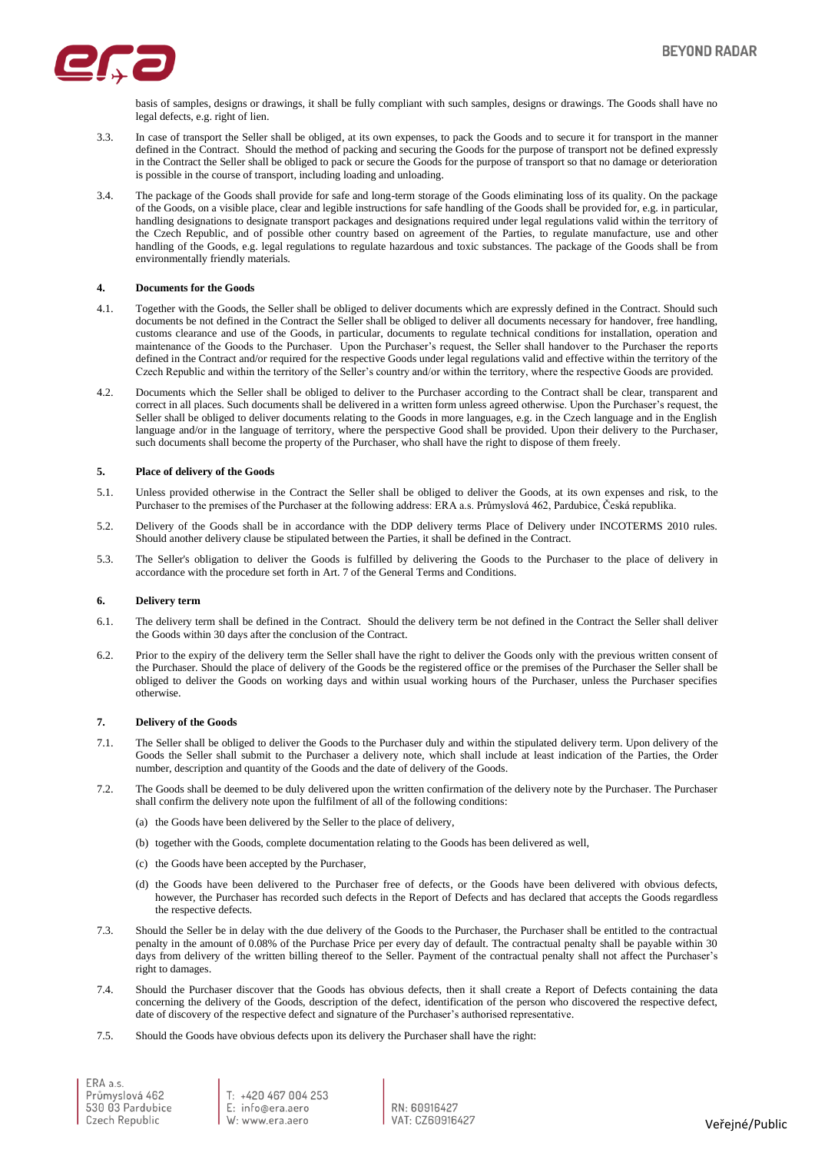

basis of samples, designs or drawings, it shall be fully compliant with such samples, designs or drawings. The Goods shall have no legal defects, e.g. right of lien.

- 3.3. In case of transport the Seller shall be obliged, at its own expenses, to pack the Goods and to secure it for transport in the manner defined in the Contract. Should the method of packing and securing the Goods for the purpose of transport not be defined expressly in the Contract the Seller shall be obliged to pack or secure the Goods for the purpose of transport so that no damage or deterioration is possible in the course of transport, including loading and unloading.
- 3.4. The package of the Goods shall provide for safe and long-term storage of the Goods eliminating loss of its quality. On the package of the Goods, on a visible place, clear and legible instructions for safe handling of the Goods shall be provided for, e.g. in particular, handling designations to designate transport packages and designations required under legal regulations valid within the territory of the Czech Republic, and of possible other country based on agreement of the Parties, to regulate manufacture, use and other handling of the Goods, e.g. legal regulations to regulate hazardous and toxic substances. The package of the Goods shall be from environmentally friendly materials.

#### **4. Documents for the Goods**

- 4.1. Together with the Goods, the Seller shall be obliged to deliver documents which are expressly defined in the Contract. Should such documents be not defined in the Contract the Seller shall be obliged to deliver all documents necessary for handover, free handling, customs clearance and use of the Goods, in particular, documents to regulate technical conditions for installation, operation and maintenance of the Goods to the Purchaser. Upon the Purchaser's request, the Seller shall handover to the Purchaser the reports defined in the Contract and/or required for the respective Goods under legal regulations valid and effective within the territory of the Czech Republic and within the territory of the Seller's country and/or within the territory, where the respective Goods are provided.
- 4.2. Documents which the Seller shall be obliged to deliver to the Purchaser according to the Contract shall be clear, transparent and correct in all places. Such documents shall be delivered in a written form unless agreed otherwise. Upon the Purchaser's request, the Seller shall be obliged to deliver documents relating to the Goods in more languages, e.g. in the Czech language and in the English language and/or in the language of territory, where the perspective Good shall be provided. Upon their delivery to the Purchaser, such documents shall become the property of the Purchaser, who shall have the right to dispose of them freely.

#### **5. Place of delivery of the Goods**

- 5.1. Unless provided otherwise in the Contract the Seller shall be obliged to deliver the Goods, at its own expenses and risk, to the Purchaser to the premises of the Purchaser at the following address: ERA a.s. Průmyslová 462, Pardubice, Česká republika.
- 5.2. Delivery of the Goods shall be in accordance with the DDP delivery terms Place of Delivery under INCOTERMS 2010 rules. Should another delivery clause be stipulated between the Parties, it shall be defined in the Contract.
- 5.3. The Seller's obligation to deliver the Goods is fulfilled by delivering the Goods to the Purchaser to the place of delivery in accordance with the procedure set forth in Art. 7 of the General Terms and Conditions.

## **6. Delivery term**

- 6.1. The delivery term shall be defined in the Contract. Should the delivery term be not defined in the Contract the Seller shall deliver the Goods within 30 days after the conclusion of the Contract.
- 6.2. Prior to the expiry of the delivery term the Seller shall have the right to deliver the Goods only with the previous written consent of the Purchaser. Should the place of delivery of the Goods be the registered office or the premises of the Purchaser the Seller shall be obliged to deliver the Goods on working days and within usual working hours of the Purchaser, unless the Purchaser specifies otherwise.

## **7. Delivery of the Goods**

- 7.1. The Seller shall be obliged to deliver the Goods to the Purchaser duly and within the stipulated delivery term. Upon delivery of the Goods the Seller shall submit to the Purchaser a delivery note, which shall include at least indication of the Parties, the Order number, description and quantity of the Goods and the date of delivery of the Goods.
- 7.2. The Goods shall be deemed to be duly delivered upon the written confirmation of the delivery note by the Purchaser. The Purchaser shall confirm the delivery note upon the fulfilment of all of the following conditions:
	- (a) the Goods have been delivered by the Seller to the place of delivery,
	- (b) together with the Goods, complete documentation relating to the Goods has been delivered as well,
	- (c) the Goods have been accepted by the Purchaser,
	- (d) the Goods have been delivered to the Purchaser free of defects, or the Goods have been delivered with obvious defects, however, the Purchaser has recorded such defects in the Report of Defects and has declared that accepts the Goods regardless the respective defects.
- 7.3. Should the Seller be in delay with the due delivery of the Goods to the Purchaser, the Purchaser shall be entitled to the contractual penalty in the amount of 0.08% of the Purchase Price per every day of default. The contractual penalty shall be payable within 30 days from delivery of the written billing thereof to the Seller. Payment of the contractual penalty shall not affect the Purchaser's right to damages.
- 7.4. Should the Purchaser discover that the Goods has obvious defects, then it shall create a Report of Defects containing the data concerning the delivery of the Goods, description of the defect, identification of the person who discovered the respective defect, date of discovery of the respective defect and signature of the Purchaser's authorised representative.
- 7.5. Should the Goods have obvious defects upon its delivery the Purchaser shall have the right:

ERA a.s. Průmyslová 462 530 03 Pardubice Czech Republic

T: +420 467 004 253<br>E: info@era.aero  $W$  www.era aero

RN: 60916427 VAT. CZ60916427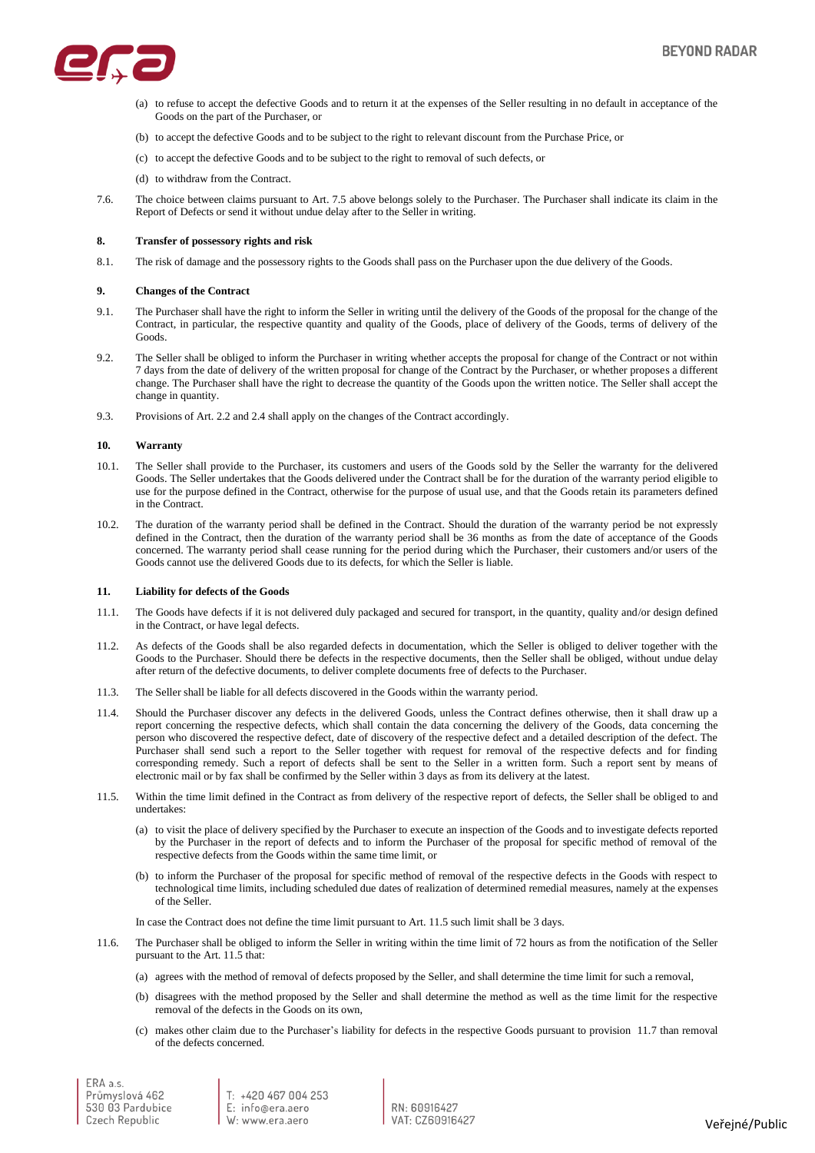

- (a) to refuse to accept the defective Goods and to return it at the expenses of the Seller resulting in no default in acceptance of the Goods on the part of the Purchaser, or
- (b) to accept the defective Goods and to be subject to the right to relevant discount from the Purchase Price, or
- (c) to accept the defective Goods and to be subject to the right to removal of such defects, or
- (d) to withdraw from the Contract.
- 7.6. The choice between claims pursuant to Art. 7.5 above belongs solely to the Purchaser. The Purchaser shall indicate its claim in the Report of Defects or send it without undue delay after to the Seller in writing.

## **8. Transfer of possessory rights and risk**

8.1. The risk of damage and the possessory rights to the Goods shall pass on the Purchaser upon the due delivery of the Goods.

## **9. Changes of the Contract**

- 9.1. The Purchaser shall have the right to inform the Seller in writing until the delivery of the Goods of the proposal for the change of the Contract, in particular, the respective quantity and quality of the Goods, place of delivery of the Goods, terms of delivery of the Goods.
- 9.2. The Seller shall be obliged to inform the Purchaser in writing whether accepts the proposal for change of the Contract or not within 7 days from the date of delivery of the written proposal for change of the Contract by the Purchaser, or whether proposes a different change. The Purchaser shall have the right to decrease the quantity of the Goods upon the written notice. The Seller shall accept the change in quantity.
- 9.3. Provisions of Art[. 2.2](#page-0-1) and [2.4](#page-0-0) shall apply on the changes of the Contract accordingly.

## **10. Warranty**

- 10.1. The Seller shall provide to the Purchaser, its customers and users of the Goods sold by the Seller the warranty for the delivered Goods. The Seller undertakes that the Goods delivered under the Contract shall be for the duration of the warranty period eligible to use for the purpose defined in the Contract, otherwise for the purpose of usual use, and that the Goods retain its parameters defined in the Contract.
- 10.2. The duration of the warranty period shall be defined in the Contract. Should the duration of the warranty period be not expressly defined in the Contract, then the duration of the warranty period shall be 36 months as from the date of acceptance of the Goods concerned. The warranty period shall cease running for the period during which the Purchaser, their customers and/or users of the Goods cannot use the delivered Goods due to its defects, for which the Seller is liable.

#### **11. Liability for defects of the Goods**

- 11.1. The Goods have defects if it is not delivered duly packaged and secured for transport, in the quantity, quality and/or design defined in the Contract, or have legal defects.
- 11.2. As defects of the Goods shall be also regarded defects in documentation, which the Seller is obliged to deliver together with the Goods to the Purchaser. Should there be defects in the respective documents, then the Seller shall be obliged, without undue delay after return of the defective documents, to deliver complete documents free of defects to the Purchaser.
- 11.3. The Seller shall be liable for all defects discovered in the Goods within the warranty period.
- 11.4. Should the Purchaser discover any defects in the delivered Goods, unless the Contract defines otherwise, then it shall draw up a report concerning the respective defects, which shall contain the data concerning the delivery of the Goods, data concerning the person who discovered the respective defect, date of discovery of the respective defect and a detailed description of the defect. The Purchaser shall send such a report to the Seller together with request for removal of the respective defects and for finding corresponding remedy. Such a report of defects shall be sent to the Seller in a written form. Such a report sent by means of electronic mail or by fax shall be confirmed by the Seller within 3 days as from its delivery at the latest.
- 11.5. Within the time limit defined in the Contract as from delivery of the respective report of defects, the Seller shall be obliged to and undertakes:
	- (a) to visit the place of delivery specified by the Purchaser to execute an inspection of the Goods and to investigate defects reported by the Purchaser in the report of defects and to inform the Purchaser of the proposal for specific method of removal of the respective defects from the Goods within the same time limit, or
	- (b) to inform the Purchaser of the proposal for specific method of removal of the respective defects in the Goods with respect to technological time limits, including scheduled due dates of realization of determined remedial measures, namely at the expenses of the Seller.

In case the Contract does not define the time limit pursuant to Art. 11.5 such limit shall be 3 days.

- 11.6. The Purchaser shall be obliged to inform the Seller in writing within the time limit of 72 hours as from the notification of the Seller pursuant to the Art. 11.5 that:
	- (a) agrees with the method of removal of defects proposed by the Seller, and shall determine the time limit for such a removal,
	- (b) disagrees with the method proposed by the Seller and shall determine the method as well as the time limit for the respective removal of the defects in the Goods on its own,
	- (c) makes other claim due to the Purchaser's liability for defects in the respective Goods pursuant to provision 11.7 than removal of the defects concerned.

T: +420 467 004 253 E: info@era.aero  $W_{2}$  www.era aero

RN: 60916427 VAT. CZ60916427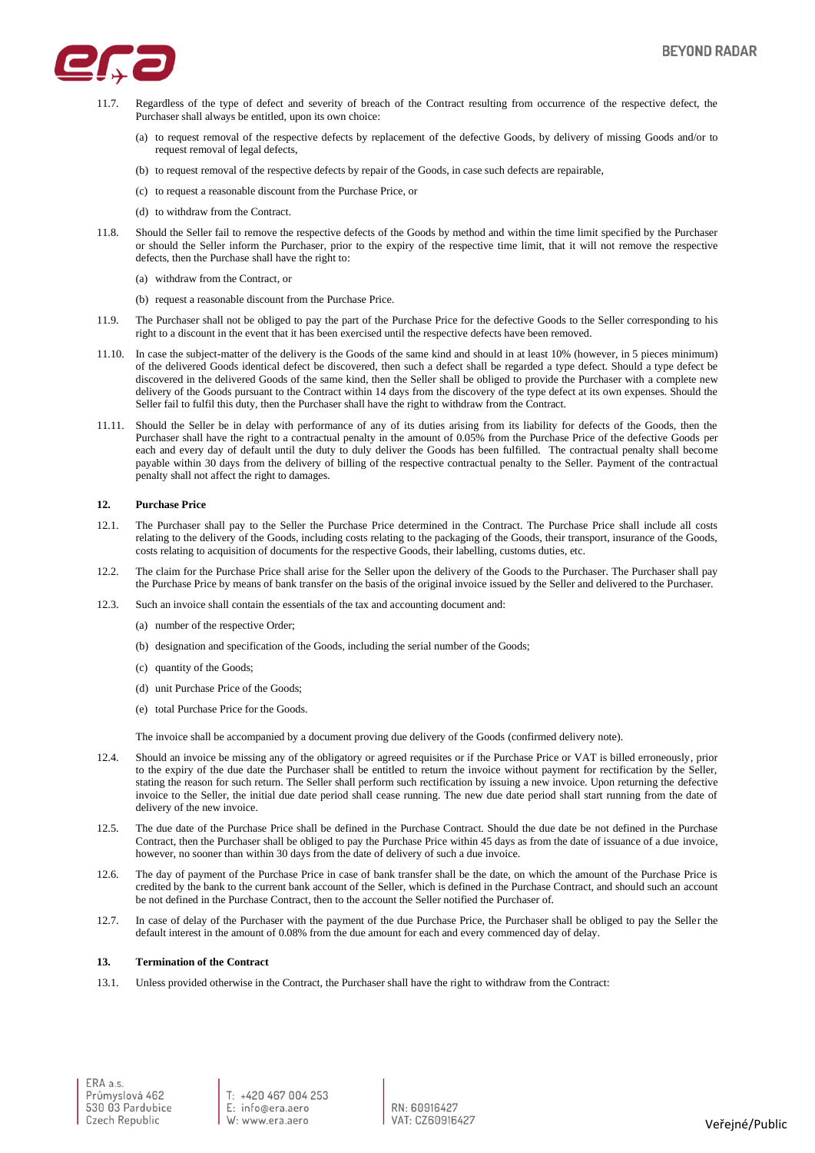

- 11.7. Regardless of the type of defect and severity of breach of the Contract resulting from occurrence of the respective defect, the Purchaser shall always be entitled, upon its own choice:
	- (a) to request removal of the respective defects by replacement of the defective Goods, by delivery of missing Goods and/or to request removal of legal defects,
	- (b) to request removal of the respective defects by repair of the Goods, in case such defects are repairable,
	- (c) to request a reasonable discount from the Purchase Price, or
	- (d) to withdraw from the Contract.
- 11.8. Should the Seller fail to remove the respective defects of the Goods by method and within the time limit specified by the Purchaser or should the Seller inform the Purchaser, prior to the expiry of the respective time limit, that it will not remove the respective defects, then the Purchase shall have the right to:
	- (a) withdraw from the Contract, or
	- (b) request a reasonable discount from the Purchase Price.
- 11.9. The Purchaser shall not be obliged to pay the part of the Purchase Price for the defective Goods to the Seller corresponding to his right to a discount in the event that it has been exercised until the respective defects have been removed.
- 11.10. In case the subject-matter of the delivery is the Goods of the same kind and should in at least 10% (however, in 5 pieces minimum) of the delivered Goods identical defect be discovered, then such a defect shall be regarded a type defect. Should a type defect be discovered in the delivered Goods of the same kind, then the Seller shall be obliged to provide the Purchaser with a complete new delivery of the Goods pursuant to the Contract within 14 days from the discovery of the type defect at its own expenses. Should the Seller fail to fulfil this duty, then the Purchaser shall have the right to withdraw from the Contract.
- 11.11. Should the Seller be in delay with performance of any of its duties arising from its liability for defects of the Goods, then the Purchaser shall have the right to a contractual penalty in the amount of 0.05% from the Purchase Price of the defective Goods per each and every day of default until the duty to duly deliver the Goods has been fulfilled. The contractual penalty shall become payable within 30 days from the delivery of billing of the respective contractual penalty to the Seller. Payment of the contractual penalty shall not affect the right to damages.

# **12. Purchase Price**

- 12.1. The Purchaser shall pay to the Seller the Purchase Price determined in the Contract. The Purchase Price shall include all costs relating to the delivery of the Goods, including costs relating to the packaging of the Goods, their transport, insurance of the Goods, costs relating to acquisition of documents for the respective Goods, their labelling, customs duties, etc.
- 12.2. The claim for the Purchase Price shall arise for the Seller upon the delivery of the Goods to the Purchaser. The Purchaser shall pay the Purchase Price by means of bank transfer on the basis of the original invoice issued by the Seller and delivered to the Purchaser.
- 12.3. Such an invoice shall contain the essentials of the tax and accounting document and:
	- (a) number of the respective Order;
	- (b) designation and specification of the Goods, including the serial number of the Goods;
	- (c) quantity of the Goods;
	- (d) unit Purchase Price of the Goods;
	- (e) total Purchase Price for the Goods.

The invoice shall be accompanied by a document proving due delivery of the Goods (confirmed delivery note).

- 12.4. Should an invoice be missing any of the obligatory or agreed requisites or if the Purchase Price or VAT is billed erroneously, prior to the expiry of the due date the Purchaser shall be entitled to return the invoice without payment for rectification by the Seller, stating the reason for such return. The Seller shall perform such rectification by issuing a new invoice. Upon returning the defective invoice to the Seller, the initial due date period shall cease running. The new due date period shall start running from the date of delivery of the new invoice.
- 12.5. The due date of the Purchase Price shall be defined in the Purchase Contract. Should the due date be not defined in the Purchase Contract, then the Purchaser shall be obliged to pay the Purchase Price within 45 days as from the date of issuance of a due invoice, however, no sooner than within 30 days from the date of delivery of such a due invoice.
- 12.6. The day of payment of the Purchase Price in case of bank transfer shall be the date, on which the amount of the Purchase Price is credited by the bank to the current bank account of the Seller, which is defined in the Purchase Contract, and should such an account be not defined in the Purchase Contract, then to the account the Seller notified the Purchaser of.
- 12.7. In case of delay of the Purchaser with the payment of the due Purchase Price, the Purchaser shall be obliged to pay the Seller the default interest in the amount of 0.08% from the due amount for each and every commenced day of delay.

## **13. Termination of the Contract**

13.1. Unless provided otherwise in the Contract, the Purchaser shall have the right to withdraw from the Contract: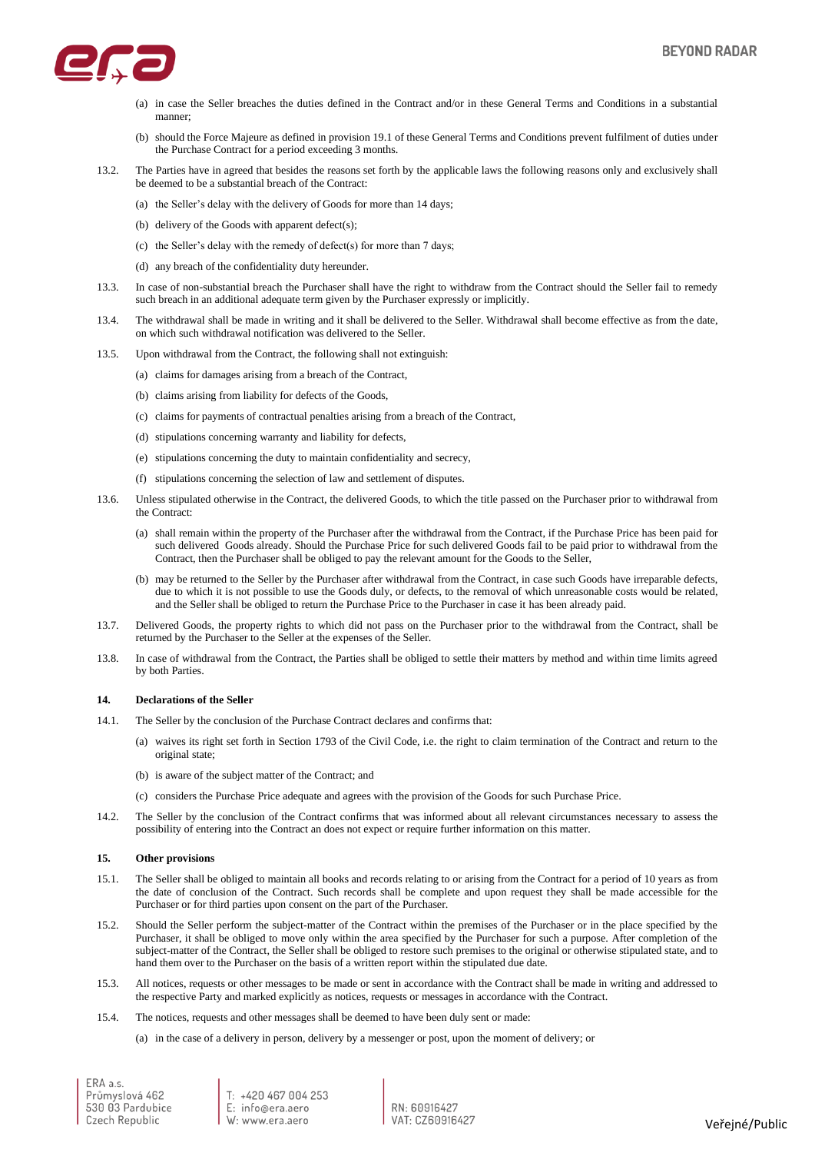

- (a) in case the Seller breaches the duties defined in the Contract and/or in these General Terms and Conditions in a substantial manner;
- (b) should the Force Majeure as defined in provision 19.1 of these General Terms and Conditions prevent fulfilment of duties under the Purchase Contract for a period exceeding 3 months.
- 13.2. The Parties have in agreed that besides the reasons set forth by the applicable laws the following reasons only and exclusively shall be deemed to be a substantial breach of the Contract:
	- (a) the Seller's delay with the delivery of Goods for more than 14 days;
	- (b) delivery of the Goods with apparent defect(s);
	- (c) the Seller's delay with the remedy of defect(s) for more than 7 days;
	- (d) any breach of the confidentiality duty hereunder.
- 13.3. In case of non-substantial breach the Purchaser shall have the right to withdraw from the Contract should the Seller fail to remedy such breach in an additional adequate term given by the Purchaser expressly or implicitly.
- 13.4. The withdrawal shall be made in writing and it shall be delivered to the Seller. Withdrawal shall become effective as from the date, on which such withdrawal notification was delivered to the Seller.
- 13.5. Upon withdrawal from the Contract, the following shall not extinguish:
	- (a) claims for damages arising from a breach of the Contract,
	- (b) claims arising from liability for defects of the Goods,
	- (c) claims for payments of contractual penalties arising from a breach of the Contract,
	- (d) stipulations concerning warranty and liability for defects,
	- (e) stipulations concerning the duty to maintain confidentiality and secrecy,
	- (f) stipulations concerning the selection of law and settlement of disputes.
- 13.6. Unless stipulated otherwise in the Contract, the delivered Goods, to which the title passed on the Purchaser prior to withdrawal from the Contract:
	- (a) shall remain within the property of the Purchaser after the withdrawal from the Contract, if the Purchase Price has been paid for such delivered Goods already. Should the Purchase Price for such delivered Goods fail to be paid prior to withdrawal from the Contract, then the Purchaser shall be obliged to pay the relevant amount for the Goods to the Seller,
	- (b) may be returned to the Seller by the Purchaser after withdrawal from the Contract, in case such Goods have irreparable defects, due to which it is not possible to use the Goods duly, or defects, to the removal of which unreasonable costs would be related, and the Seller shall be obliged to return the Purchase Price to the Purchaser in case it has been already paid.
- 13.7. Delivered Goods, the property rights to which did not pass on the Purchaser prior to the withdrawal from the Contract, shall be returned by the Purchaser to the Seller at the expenses of the Seller.
- 13.8. In case of withdrawal from the Contract, the Parties shall be obliged to settle their matters by method and within time limits agreed by both Parties.

## **14. Declarations of the Seller**

- 14.1. The Seller by the conclusion of the Purchase Contract declares and confirms that:
	- (a) waives its right set forth in Section 1793 of the Civil Code, i.e. the right to claim termination of the Contract and return to the original state;
	- (b) is aware of the subject matter of the Contract; and
	- (c) considers the Purchase Price adequate and agrees with the provision of the Goods for such Purchase Price.
- 14.2. The Seller by the conclusion of the Contract confirms that was informed about all relevant circumstances necessary to assess the possibility of entering into the Contract an does not expect or require further information on this matter.

## **15. Other provisions**

- 15.1. The Seller shall be obliged to maintain all books and records relating to or arising from the Contract for a period of 10 years as from the date of conclusion of the Contract. Such records shall be complete and upon request they shall be made accessible for the Purchaser or for third parties upon consent on the part of the Purchaser.
- 15.2. Should the Seller perform the subject-matter of the Contract within the premises of the Purchaser or in the place specified by the Purchaser, it shall be obliged to move only within the area specified by the Purchaser for such a purpose. After completion of the subject-matter of the Contract, the Seller shall be obliged to restore such premises to the original or otherwise stipulated state, and to hand them over to the Purchaser on the basis of a written report within the stipulated due date.
- 15.3. All notices, requests or other messages to be made or sent in accordance with the Contract shall be made in writing and addressed to the respective Party and marked explicitly as notices, requests or messages in accordance with the Contract.
- 15.4. The notices, requests and other messages shall be deemed to have been duly sent or made:

(a) in the case of a delivery in person, delivery by a messenger or post, upon the moment of delivery; or

ERA a.s. Průmyslová 462 530 03 Pardubice Czech Republic

T: +420 467 004 253<br>E: info@era.aero  $W_{2}$  www.era aero

RN: 60916427 VAT. CZ60916427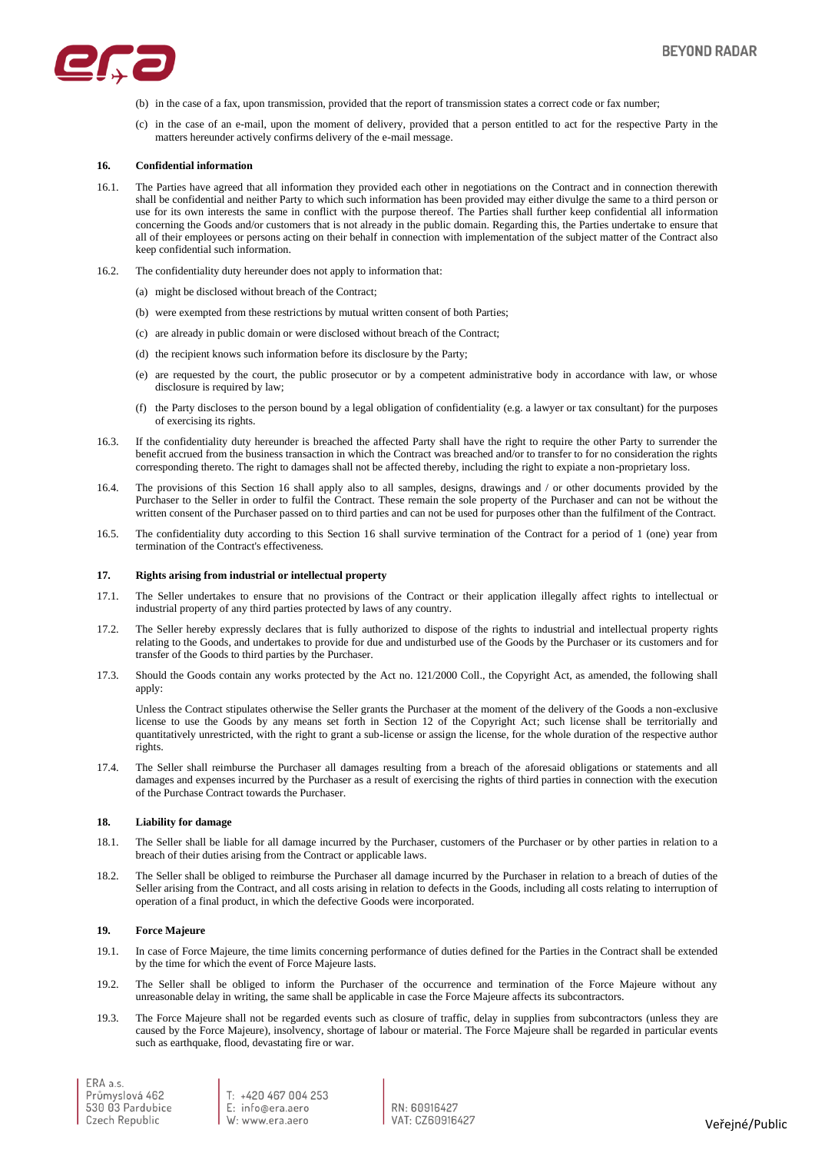

- (b) in the case of a fax, upon transmission, provided that the report of transmission states a correct code or fax number;
- (c) in the case of an e-mail, upon the moment of delivery, provided that a person entitled to act for the respective Party in the matters hereunder actively confirms delivery of the e-mail message.

#### **16. Confidential information**

- 16.1. The Parties have agreed that all information they provided each other in negotiations on the Contract and in connection therewith shall be confidential and neither Party to which such information has been provided may either divulge the same to a third person or use for its own interests the same in conflict with the purpose thereof. The Parties shall further keep confidential all information concerning the Goods and/or customers that is not already in the public domain. Regarding this, the Parties undertake to ensure that all of their employees or persons acting on their behalf in connection with implementation of the subject matter of the Contract also keep confidential such information.
- 16.2. The confidentiality duty hereunder does not apply to information that:
	- (a) might be disclosed without breach of the Contract;
	- (b) were exempted from these restrictions by mutual written consent of both Parties;
	- (c) are already in public domain or were disclosed without breach of the Contract;
	- (d) the recipient knows such information before its disclosure by the Party;
	- (e) are requested by the court, the public prosecutor or by a competent administrative body in accordance with law, or whose disclosure is required by law;
	- (f) the Party discloses to the person bound by a legal obligation of confidentiality (e.g. a lawyer or tax consultant) for the purposes of exercising its rights.
- 16.3. If the confidentiality duty hereunder is breached the affected Party shall have the right to require the other Party to surrender the benefit accrued from the business transaction in which the Contract was breached and/or to transfer to for no consideration the rights corresponding thereto. The right to damages shall not be affected thereby, including the right to expiate a non-proprietary loss.
- 16.4. The provisions of this Section 16 shall apply also to all samples, designs, drawings and / or other documents provided by the Purchaser to the Seller in order to fulfil the Contract. These remain the sole property of the Purchaser and can not be without the written consent of the Purchaser passed on to third parties and can not be used for purposes other than the fulfilment of the Contract.
- 16.5. The confidentiality duty according to this Section 16 shall survive termination of the Contract for a period of 1 (one) year from termination of the Contract's effectiveness.

#### **17. Rights arising from industrial or intellectual property**

- 17.1. The Seller undertakes to ensure that no provisions of the Contract or their application illegally affect rights to intellectual or industrial property of any third parties protected by laws of any country.
- 17.2. The Seller hereby expressly declares that is fully authorized to dispose of the rights to industrial and intellectual property rights relating to the Goods, and undertakes to provide for due and undisturbed use of the Goods by the Purchaser or its customers and for transfer of the Goods to third parties by the Purchaser.
- 17.3. Should the Goods contain any works protected by the Act no. 121/2000 Coll., the Copyright Act, as amended, the following shall apply:

Unless the Contract stipulates otherwise the Seller grants the Purchaser at the moment of the delivery of the Goods a non-exclusive license to use the Goods by any means set forth in Section 12 of the Copyright Act; such license shall be territorially and quantitatively unrestricted, with the right to grant a sub-license or assign the license, for the whole duration of the respective author rights.

17.4. The Seller shall reimburse the Purchaser all damages resulting from a breach of the aforesaid obligations or statements and all damages and expenses incurred by the Purchaser as a result of exercising the rights of third parties in connection with the execution of the Purchase Contract towards the Purchaser.

# **18. Liability for damage**

- 18.1. The Seller shall be liable for all damage incurred by the Purchaser, customers of the Purchaser or by other parties in relation to a breach of their duties arising from the Contract or applicable laws.
- 18.2. The Seller shall be obliged to reimburse the Purchaser all damage incurred by the Purchaser in relation to a breach of duties of the Seller arising from the Contract, and all costs arising in relation to defects in the Goods, including all costs relating to interruption of operation of a final product, in which the defective Goods were incorporated.

#### **19. Force Majeure**

- 19.1. In case of Force Majeure, the time limits concerning performance of duties defined for the Parties in the Contract shall be extended by the time for which the event of Force Majeure lasts.
- 19.2. The Seller shall be obliged to inform the Purchaser of the occurrence and termination of the Force Majeure without any unreasonable delay in writing, the same shall be applicable in case the Force Majeure affects its subcontractors.
- 19.3. The Force Majeure shall not be regarded events such as closure of traffic, delay in supplies from subcontractors (unless they are caused by the Force Majeure), insolvency, shortage of labour or material. The Force Majeure shall be regarded in particular events such as earthquake, flood, devastating fire or war.